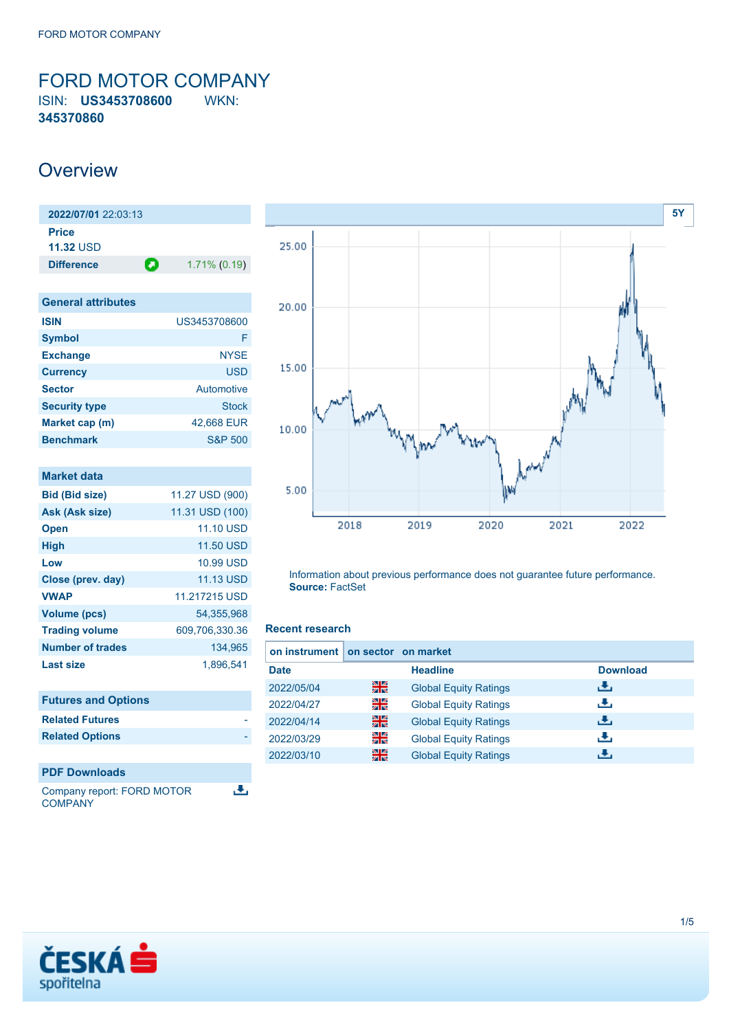<span id="page-0-0"></span>FORD MOTOR COMPANY ISIN: **US3453708600** WKN: **345370860**

## **Overview**

| 2022/07/01 22:03:13              |   |                 |
|----------------------------------|---|-----------------|
| <b>Price</b><br><b>11.32 USD</b> |   |                 |
| <b>Difference</b>                | О | $1.71\%$ (0.19) |

| <b>General attributes</b> |                    |
|---------------------------|--------------------|
| <b>ISIN</b>               | US3453708600       |
| <b>Symbol</b>             | F                  |
| <b>Exchange</b>           | <b>NYSE</b>        |
| <b>Currency</b>           | <b>USD</b>         |
| <b>Sector</b>             | <b>Automotive</b>  |
| <b>Security type</b>      | Stock              |
| Market cap (m)            | 42,668 EUR         |
| <b>Benchmark</b>          | <b>S&amp;P 500</b> |

| Market data             |                  |
|-------------------------|------------------|
| <b>Bid (Bid size)</b>   | 11.27 USD (900)  |
| Ask (Ask size)          | 11.31 USD (100)  |
| <b>Open</b>             | <b>11.10 USD</b> |
| <b>High</b>             | <b>11.50 USD</b> |
| Low                     | 10.99 USD        |
| Close (prev. day)       | <b>11.13 USD</b> |
| <b>VWAP</b>             | 11.217215 USD    |
| Volume (pcs)            | 54,355,968       |
| <b>Trading volume</b>   | 609,706,330.36   |
| <b>Number of trades</b> | 134,965          |
| Last size               | 1,896,541        |
|                         |                  |
|                         |                  |

| <b>Futures and Options</b> |  |
|----------------------------|--|
| <b>Related Futures</b>     |  |
| <b>Related Options</b>     |  |
|                            |  |
| <b>PDF Downloads</b>       |  |

æ, Company report: FORD MOTOR **COMPANY** 



Information about previous performance does not guarantee future performance. **Source:** FactSet

### **Recent research**

| on instrument on sector on market |    |                              |                 |
|-----------------------------------|----|------------------------------|-----------------|
| <b>Date</b>                       |    | <b>Headline</b>              | <b>Download</b> |
| 2022/05/04                        | 꾉쭍 | <b>Global Equity Ratings</b> | æ,              |
| 2022/04/27                        | 을  | <b>Global Equity Ratings</b> | æ,              |
| 2022/04/14                        | 噐  | <b>Global Equity Ratings</b> | æ,              |
| 2022/03/29                        | 을  | <b>Global Equity Ratings</b> | æ,              |
| 2022/03/10                        | 噐  | <b>Global Equity Ratings</b> | J.              |

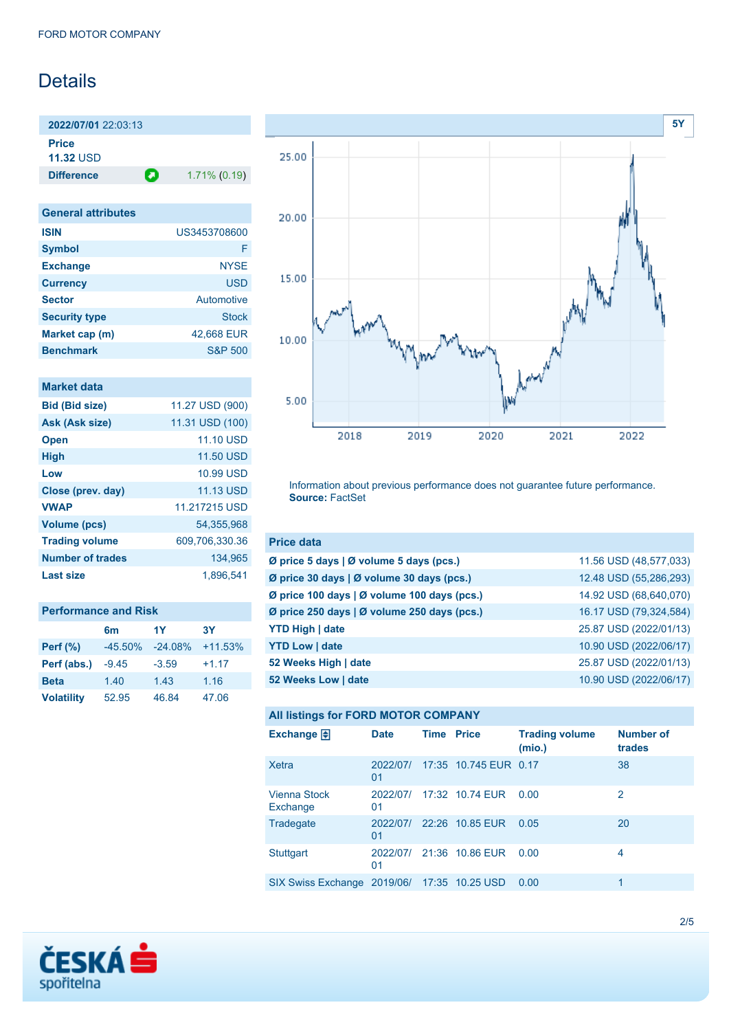# **Details**

**2022/07/01** 22:03:13 **Price 11.32** USD

**Difference 1.71% (0.19)** 

| <b>General attributes</b> |              |
|---------------------------|--------------|
| <b>ISIN</b>               | US3453708600 |
| <b>Symbol</b>             | F            |
| <b>Exchange</b>           | <b>NYSE</b>  |
| <b>Currency</b>           | <b>USD</b>   |
| <b>Sector</b>             | Automotive   |
| <b>Security type</b>      | <b>Stock</b> |
| Market cap (m)            | 42,668 EUR   |
| <b>Benchmark</b>          | S&P 500      |

| <b>Market data</b>      |                  |
|-------------------------|------------------|
| <b>Bid (Bid size)</b>   | 11.27 USD (900)  |
| Ask (Ask size)          | 11.31 USD (100)  |
| <b>Open</b>             | <b>11.10 USD</b> |
| <b>High</b>             | <b>11.50 USD</b> |
| Low                     | 10,99 USD        |
| Close (prev. day)       | <b>11.13 USD</b> |
| <b>VWAP</b>             | 11.217215 USD    |
| <b>Volume (pcs)</b>     | 54,355,968       |
| <b>Trading volume</b>   | 609,706,330.36   |
| <b>Number of trades</b> | 134,965          |
| Last size               | 1.896,541        |

| <b>Performance and Risk</b> |                |            |           |  |
|-----------------------------|----------------|------------|-----------|--|
|                             | 6 <sub>m</sub> | 1Y         | <b>3Y</b> |  |
| <b>Perf</b> (%)             | $-45.50%$      | $-24.08\%$ | $+11.53%$ |  |
| Perf (abs.)                 | $-9.45$        | $-3.59$    | $+1.17$   |  |
| <b>Beta</b>                 | 1.40           | 1.43       | 1.16      |  |
| <b>Volatility</b>           | 52.95          | 46.84      | 47.06     |  |



Information about previous performance does not guarantee future performance. **Source:** FactSet

| <b>Price data</b>                           |                        |
|---------------------------------------------|------------------------|
| Ø price 5 days   Ø volume 5 days (pcs.)     | 11.56 USD (48,577,033) |
| Ø price 30 days   Ø volume 30 days (pcs.)   | 12.48 USD (55,286,293) |
| Ø price 100 days   Ø volume 100 days (pcs.) | 14.92 USD (68,640,070) |
| Ø price 250 days   Ø volume 250 days (pcs.) | 16.17 USD (79,324,584) |
| <b>YTD High   date</b>                      | 25.87 USD (2022/01/13) |
| <b>YTD Low   date</b>                       | 10.90 USD (2022/06/17) |
| 52 Weeks High   date                        | 25.87 USD (2022/01/13) |
| 52 Weeks Low   date                         | 10.90 USD (2022/06/17) |

### **All listings for FORD MOTOR COMPANY**

| Exchange $\bigoplus$                        | <b>Date</b>    | <b>Time Price</b> |                       | <b>Trading volume</b><br>(mio.) | <b>Number of</b><br>trades |
|---------------------------------------------|----------------|-------------------|-----------------------|---------------------------------|----------------------------|
| Xetra                                       | 2022/07/<br>01 |                   | 17:35 10.745 EUR 0.17 |                                 | 38                         |
| Vienna Stock<br>Exchange                    | 2022/07/<br>01 |                   | 17:32 10.74 EUR       | 0.00                            | 2                          |
| Tradegate                                   | 2022/07/<br>01 |                   | 22:26 10.85 EUR       | 0.05                            | 20                         |
| <b>Stuttgart</b>                            | 2022/07/<br>01 |                   | 21:36 10.86 EUR       | 0.00                            | 4                          |
| SIX Swiss Exchange 2019/06/ 17:35 10.25 USD |                |                   |                       | 0.00                            | 1                          |

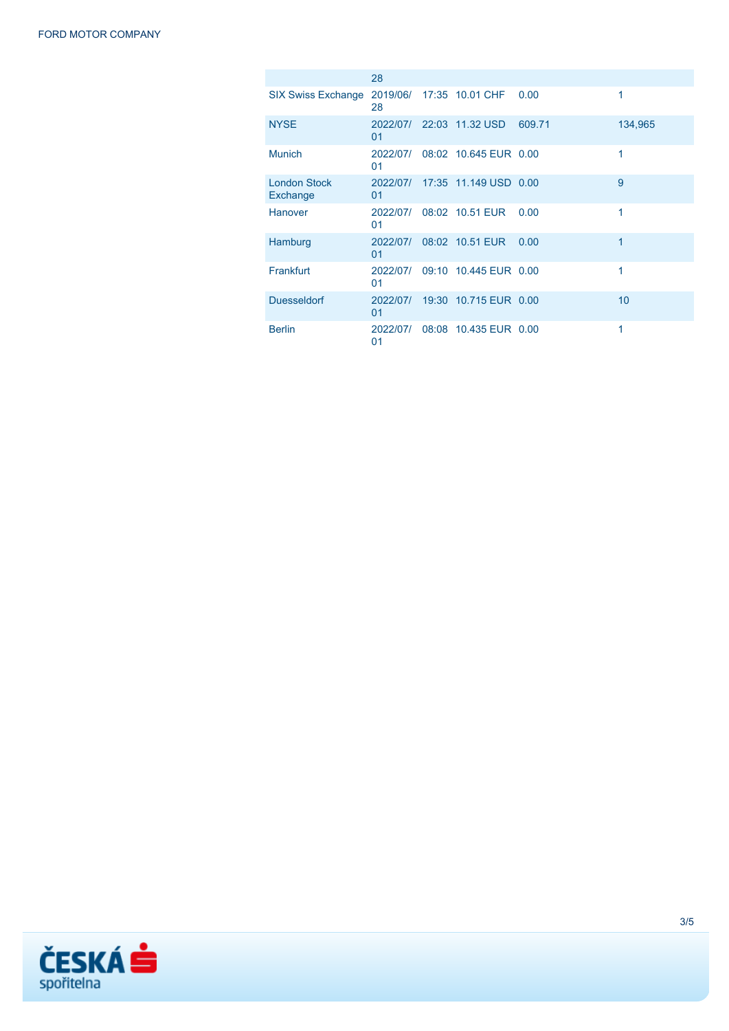|                                 | 28             |                                |        |         |
|---------------------------------|----------------|--------------------------------|--------|---------|
| <b>SIX Swiss Exchange</b>       | 28             | 2019/06/ 17:35 10.01 CHF       | 0.00   | 1       |
| <b>NYSE</b>                     | 01             | 2022/07/ 22:03 11.32 USD       | 609.71 | 134,965 |
| <b>Munich</b>                   | 2022/07/<br>01 | 08:02 10.645 EUR 0.00          |        | 1       |
| <b>London Stock</b><br>Exchange | 01             | 2022/07/ 17:35 11.149 USD 0.00 |        | 9       |
| Hanover                         | 2022/07/<br>01 | 08:02 10.51 EUR                | 0.00   | 1       |
| Hamburg                         | 2022/07/<br>01 | 08:02 10.51 EUR                | 0.00   | 1       |
| Frankfurt                       | 2022/07/<br>01 | 09:10 10.445 EUR 0.00          |        | 1       |
| <b>Duesseldorf</b>              | 2022/07/<br>01 | 19:30 10.715 EUR 0.00          |        | 10      |
| <b>Berlin</b>                   | 2022/07/<br>01 | 08:08 10.435 EUR 0.00          |        | 1       |

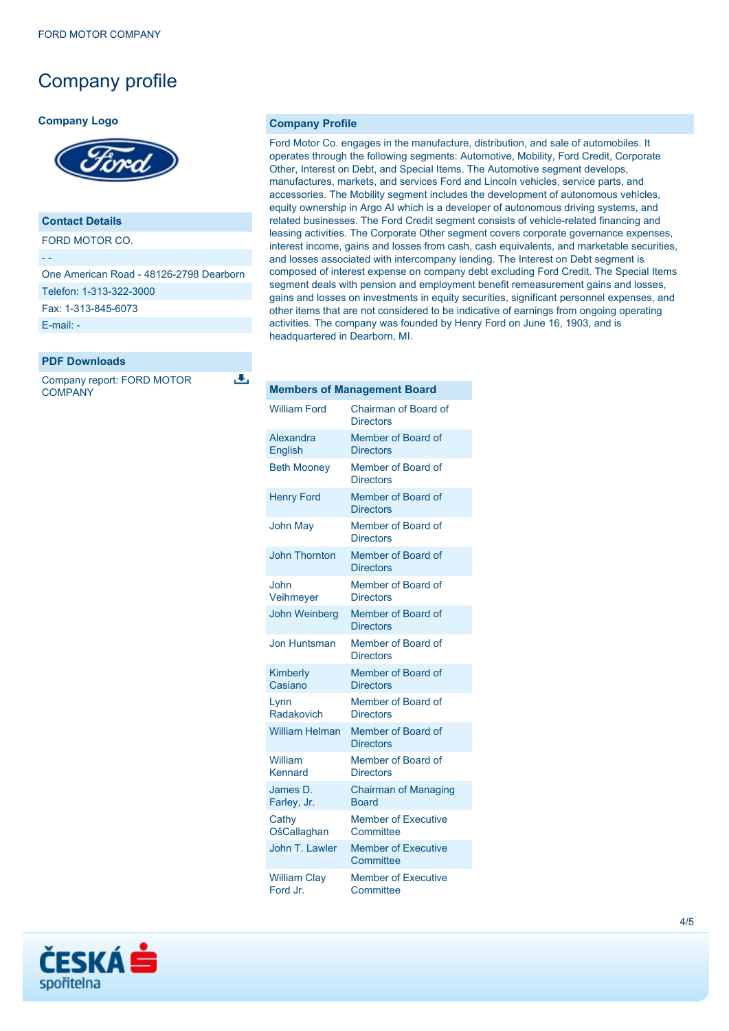## Company profile

#### **Company Logo**



### **Contact Details**

FORD MOTOR CO.

- -

One American Road - 48126-2798 Dearborn

Telefon: 1-313-322-3000 Fax: 1-313-845-6073

[E-mail: -](mailto:-)

### **PDF Downloads**

Company report: FORD MOTOR **COMPANY** 

J.

#### **Company Profile**

Ford Motor Co. engages in the manufacture, distribution, and sale of automobiles. It operates through the following segments: Automotive, Mobility, Ford Credit, Corporate Other, Interest on Debt, and Special Items. The Automotive segment develops, manufactures, markets, and services Ford and Lincoln vehicles, service parts, and accessories. The Mobility segment includes the development of autonomous vehicles, equity ownership in Argo AI which is a developer of autonomous driving systems, and related businesses. The Ford Credit segment consists of vehicle-related financing and leasing activities. The Corporate Other segment covers corporate governance expenses, interest income, gains and losses from cash, cash equivalents, and marketable securities, and losses associated with intercompany lending. The Interest on Debt segment is composed of interest expense on company debt excluding Ford Credit. The Special Items segment deals with pension and employment benefit remeasurement gains and losses, gains and losses on investments in equity securities, significant personnel expenses, and other items that are not considered to be indicative of earnings from ongoing operating activities. The company was founded by Henry Ford on June 16, 1903, and is headquartered in Dearborn, MI.

| <b>Members of Management Board</b> |                                                 |  |
|------------------------------------|-------------------------------------------------|--|
| <b>William Ford</b>                | <b>Chairman of Board of</b><br><b>Directors</b> |  |
| Alexandra<br>English               | Member of Board of<br><b>Directors</b>          |  |
| <b>Beth Mooney</b>                 | Member of Board of<br><b>Directors</b>          |  |
| <b>Henry Ford</b>                  | Member of Board of<br><b>Directors</b>          |  |
| <b>John May</b>                    | Member of Board of<br><b>Directors</b>          |  |
| <b>John Thornton</b>               | Member of Board of<br><b>Directors</b>          |  |
| John<br>Veihmeyer                  | Member of Board of<br><b>Directors</b>          |  |
| <b>John Weinberg</b>               | Member of Board of<br><b>Directors</b>          |  |
| Jon Huntsman                       | Member of Board of<br><b>Directors</b>          |  |
| Kimberly<br>Casiano                | Member of Board of<br><b>Directors</b>          |  |
| Lynn<br>Radakovich                 | Member of Board of<br><b>Directors</b>          |  |
| <b>William Helman</b>              | Member of Board of<br><b>Directors</b>          |  |
| William<br>Kennard                 | Member of Board of<br><b>Directors</b>          |  |
| James D.<br>Farley, Jr.            | <b>Chairman of Managing</b><br><b>Board</b>     |  |
| Cathy<br>OšCallaghan               | <b>Member of Executive</b><br>Committee         |  |
| John T. Lawler                     | <b>Member of Executive</b><br>Committee         |  |
| <b>William Clay</b><br>Ford Jr.    | <b>Member of Executive</b><br>Committee         |  |